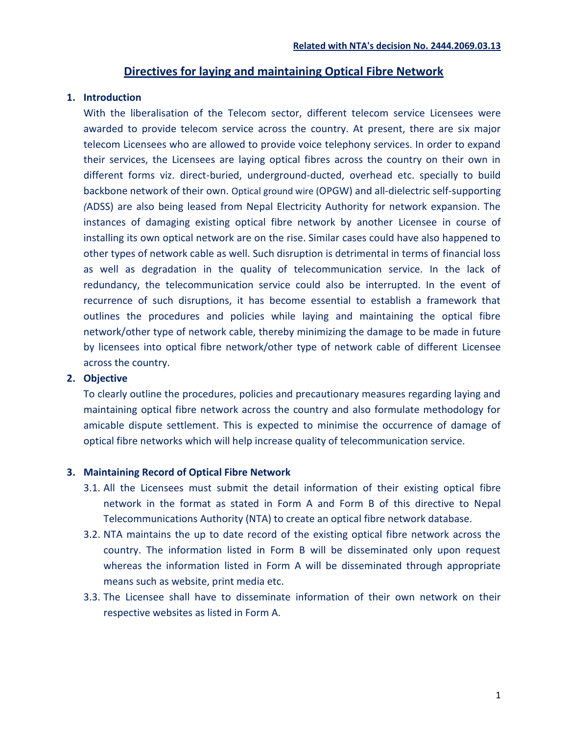# **Directives for laying and maintaining Optical Fibre Network**

#### **1. Introduction**

With the liberalisation of the Telecom sector, different telecom service Licensees were awarded to provide telecom service across the country. At present, there are six major telecom Licensees who are allowed to provide voice telephony services. In order to expand their services, the Licensees are laying optical fibres across the country on their own in different forms viz. direct-buried, underground-ducted, overhead etc. specially to build backbone network of their own. Optical ground wire (OPGW) and all-dielectric self-supporting *(*ADSS) are also being leased from Nepal Electricity Authority for network expansion. The instances of damaging existing optical fibre network by another Licensee in course of installing its own optical network are on the rise. Similar cases could have also happened to other types of network cable as well. Such disruption is detrimental in terms of financial loss as well as degradation in the quality of telecommunication service. In the lack of redundancy, the telecommunication service could also be interrupted. In the event of recurrence of such disruptions, it has become essential to establish a framework that outlines the procedures and policies while laying and maintaining the optical fibre network/other type of network cable, thereby minimizing the damage to be made in future by licensees into optical fibre network/other type of network cable of different Licensee across the country.

### **2. Objective**

To clearly outline the procedures, policies and precautionary measures regarding laying and maintaining optical fibre network across the country and also formulate methodology for amicable dispute settlement. This is expected to minimise the occurrence of damage of optical fibre networks which will help increase quality of telecommunication service.

### **3. Maintaining Record of Optical Fibre Network**

- 3.1. All the Licensees must submit the detail information of their existing optical fibre network in the format as stated in Form A and Form B of this directive to Nepal Telecommunications Authority (NTA) to create an optical fibre network database.
- 3.2. NTA maintains the up to date record of the existing optical fibre network across the country. The information listed in Form B will be disseminated only upon request whereas the information listed in Form A will be disseminated through appropriate means such as website, print media etc.
- 3.3. The Licensee shall have to disseminate information of their own network on their respective websites as listed in Form A.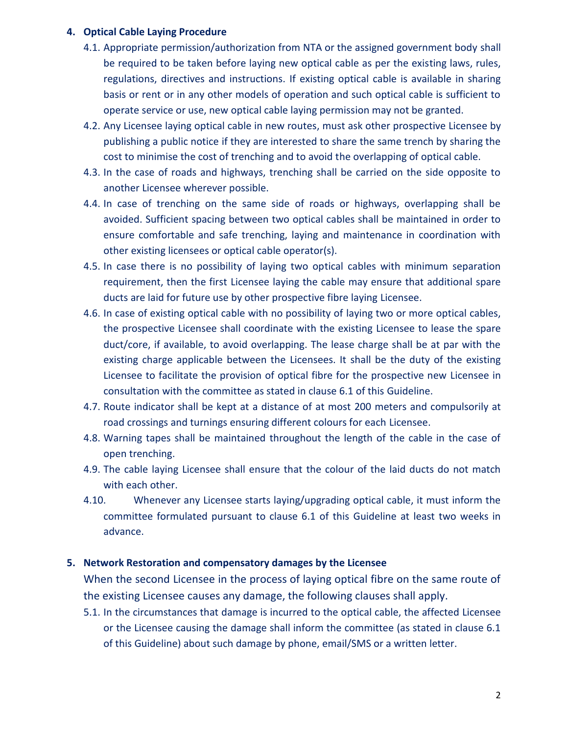### **4. Optical Cable Laying Procedure**

- 4.1. Appropriate permission/authorization from NTA or the assigned government body shall be required to be taken before laying new optical cable as per the existing laws, rules, regulations, directives and instructions. If existing optical cable is available in sharing basis or rent or in any other models of operation and such optical cable is sufficient to operate service or use, new optical cable laying permission may not be granted.
- 4.2. Any Licensee laying optical cable in new routes, must ask other prospective Licensee by publishing a public notice if they are interested to share the same trench by sharing the cost to minimise the cost of trenching and to avoid the overlapping of optical cable.
- 4.3. In the case of roads and highways, trenching shall be carried on the side opposite to another Licensee wherever possible.
- 4.4. In case of trenching on the same side of roads or highways, overlapping shall be avoided. Sufficient spacing between two optical cables shall be maintained in order to ensure comfortable and safe trenching, laying and maintenance in coordination with other existing licensees or optical cable operator(s).
- 4.5. In case there is no possibility of laying two optical cables with minimum separation requirement, then the first Licensee laying the cable may ensure that additional spare ducts are laid for future use by other prospective fibre laying Licensee.
- 4.6. In case of existing optical cable with no possibility of laying two or more optical cables, the prospective Licensee shall coordinate with the existing Licensee to lease the spare duct/core, if available, to avoid overlapping. The lease charge shall be at par with the existing charge applicable between the Licensees. It shall be the duty of the existing Licensee to facilitate the provision of optical fibre for the prospective new Licensee in consultation with the committee as stated in clause 6.1 of this Guideline.
- 4.7. Route indicator shall be kept at a distance of at most 200 meters and compulsorily at road crossings and turnings ensuring different colours for each Licensee.
- 4.8. Warning tapes shall be maintained throughout the length of the cable in the case of open trenching.
- 4.9. The cable laying Licensee shall ensure that the colour of the laid ducts do not match with each other.
- 4.10. Whenever any Licensee starts laying/upgrading optical cable, it must inform the committee formulated pursuant to clause 6.1 of this Guideline at least two weeks in advance.

## **5. Network Restoration and compensatory damages by the Licensee**

When the second Licensee in the process of laying optical fibre on the same route of the existing Licensee causes any damage, the following clauses shall apply.

5.1. In the circumstances that damage is incurred to the optical cable, the affected Licensee or the Licensee causing the damage shall inform the committee (as stated in clause 6.1 of this Guideline) about such damage by phone, email/SMS or a written letter.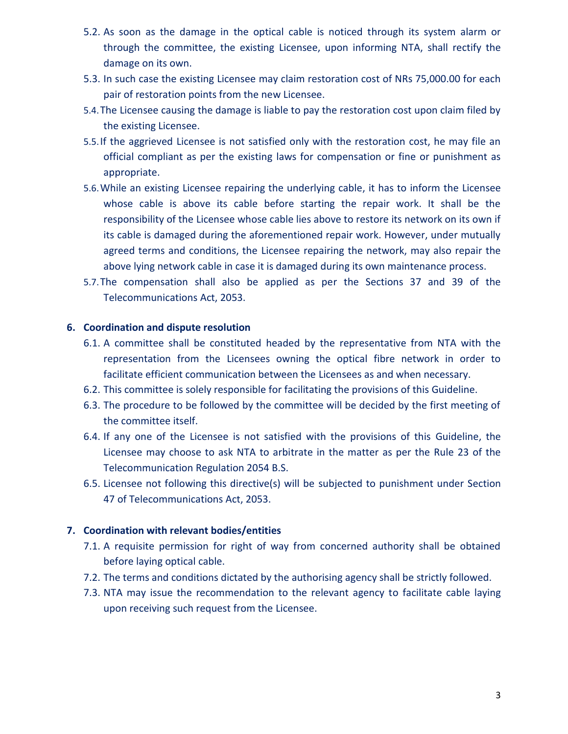- 5.2. As soon as the damage in the optical cable is noticed through its system alarm or through the committee, the existing Licensee, upon informing NTA, shall rectify the damage on its own.
- 5.3. In such case the existing Licensee may claim restoration cost of NRs 75,000.00 for each pair of restoration points from the new Licensee.
- 5.4.The Licensee causing the damage is liable to pay the restoration cost upon claim filed by the existing Licensee.
- 5.5.If the aggrieved Licensee is not satisfied only with the restoration cost, he may file an official compliant as per the existing laws for compensation or fine or punishment as appropriate.
- 5.6.While an existing Licensee repairing the underlying cable, it has to inform the Licensee whose cable is above its cable before starting the repair work. It shall be the responsibility of the Licensee whose cable lies above to restore its network on its own if its cable is damaged during the aforementioned repair work. However, under mutually agreed terms and conditions, the Licensee repairing the network, may also repair the above lying network cable in case it is damaged during its own maintenance process.
- 5.7.The compensation shall also be applied as per the Sections 37 and 39 of the Telecommunications Act, 2053.

### **6. Coordination and dispute resolution**

- 6.1. A committee shall be constituted headed by the representative from NTA with the representation from the Licensees owning the optical fibre network in order to facilitate efficient communication between the Licensees as and when necessary.
- 6.2. This committee is solely responsible for facilitating the provisions of this Guideline.
- 6.3. The procedure to be followed by the committee will be decided by the first meeting of the committee itself.
- 6.4. If any one of the Licensee is not satisfied with the provisions of this Guideline, the Licensee may choose to ask NTA to arbitrate in the matter as per the Rule 23 of the Telecommunication Regulation 2054 B.S.
- 6.5. Licensee not following this directive(s) will be subjected to punishment under Section 47 of Telecommunications Act, 2053.

## **7. Coordination with relevant bodies/entities**

- 7.1. A requisite permission for right of way from concerned authority shall be obtained before laying optical cable.
- 7.2. The terms and conditions dictated by the authorising agency shall be strictly followed.
- 7.3. NTA may issue the recommendation to the relevant agency to facilitate cable laying upon receiving such request from the Licensee.